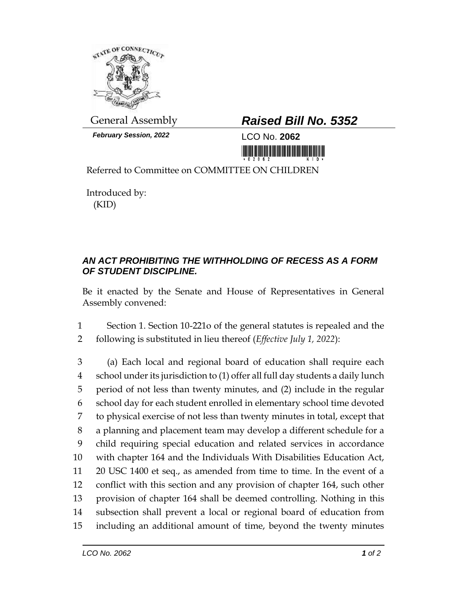

*February Session, 2022* LCO No. **2062**

## General Assembly *Raised Bill No. 5352*

Referred to Committee on COMMITTEE ON CHILDREN

Introduced by: (KID)

## *AN ACT PROHIBITING THE WITHHOLDING OF RECESS AS A FORM OF STUDENT DISCIPLINE.*

Be it enacted by the Senate and House of Representatives in General Assembly convened:

1 Section 1. Section 10-221o of the general statutes is repealed and the 2 following is substituted in lieu thereof (*Effective July 1, 2022*):

 (a) Each local and regional board of education shall require each school under its jurisdiction to (1) offer all full day students a daily lunch period of not less than twenty minutes, and (2) include in the regular school day for each student enrolled in elementary school time devoted to physical exercise of not less than twenty minutes in total, except that a planning and placement team may develop a different schedule for a child requiring special education and related services in accordance with chapter 164 and the Individuals With Disabilities Education Act, 20 USC 1400 et seq., as amended from time to time. In the event of a conflict with this section and any provision of chapter 164, such other provision of chapter 164 shall be deemed controlling. Nothing in this subsection shall prevent a local or regional board of education from including an additional amount of time, beyond the twenty minutes